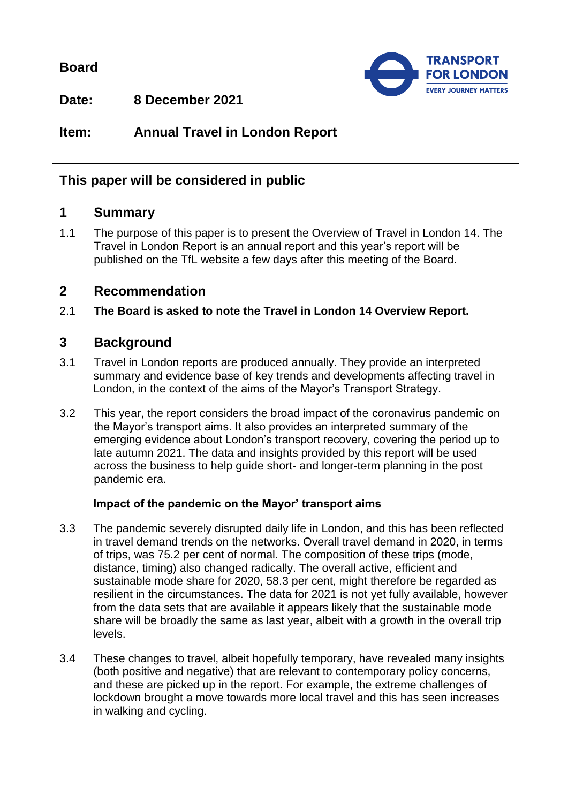**Board**



**Date: 8 December 2021**

**Item: Annual Travel in London Report**

## **This paper will be considered in public**

# **1 Summary**

1.1 The purpose of this paper is to present the Overview of Travel in London 14. The Travel in London Report is an annual report and this year's report will be published on the TfL website a few days after this meeting of the Board.

### **2 Recommendation**

2.1 **The Board is asked to note the Travel in London 14 Overview Report.**

## **3 Background**

- 3.1 Travel in London reports are produced annually. They provide an interpreted summary and evidence base of key trends and developments affecting travel in London, in the context of the aims of the Mayor's Transport Strategy.
- 3.2 This year, the report considers the broad impact of the coronavirus pandemic on the Mayor's transport aims. It also provides an interpreted summary of the emerging evidence about London's transport recovery, covering the period up to late autumn 2021. The data and insights provided by this report will be used across the business to help guide short- and longer-term planning in the post pandemic era.

#### **Impact of the pandemic on the Mayor' transport aims**

- 3.3 The pandemic severely disrupted daily life in London, and this has been reflected in travel demand trends on the networks. Overall travel demand in 2020, in terms of trips, was 75.2 per cent of normal. The composition of these trips (mode, distance, timing) also changed radically. The overall active, efficient and sustainable mode share for 2020, 58.3 per cent, might therefore be regarded as resilient in the circumstances. The data for 2021 is not yet fully available, however from the data sets that are available it appears likely that the sustainable mode share will be broadly the same as last year, albeit with a growth in the overall trip levels.
- 3.4 These changes to travel, albeit hopefully temporary, have revealed many insights (both positive and negative) that are relevant to contemporary policy concerns, and these are picked up in the report. For example, the extreme challenges of lockdown brought a move towards more local travel and this has seen increases in walking and cycling.